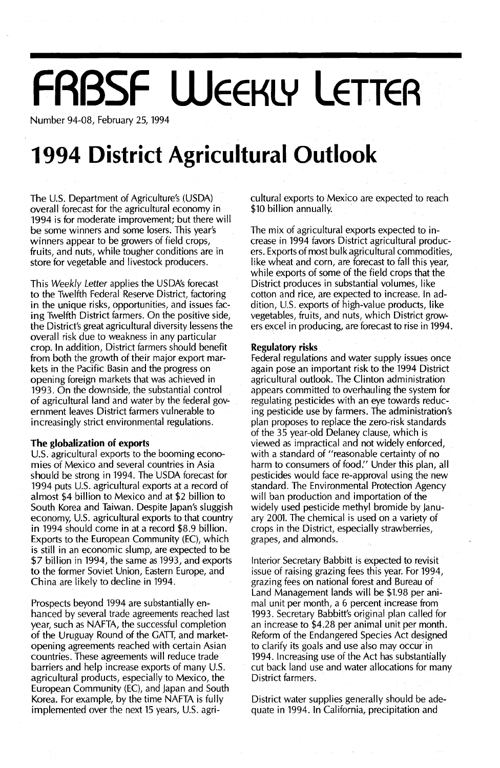## **FRBSF WEEKLY LETTER**

Number 94-08, February 25, 1994

## **1994 District Agricultural Outlook**

The U.S. Department of Agriculture's (USDA) overall forecast for the agricultural economy in 1994 is for moderate improvement; but there will be some winners and some losers. This year's winners appear to be growers of field crops, fruits, and nuts, while tougher conditions are in store for vegetable and livestock producers.

This Weekly Letter applies the USDA's forecast to the Twelfth Federal Reserve District, factoring in the unique risks, opportunities, and issues facing Twelfth District farmers. On the positive side, the District's great agricultural diversity lessens the overall risk due to weakness in any particular crop. In addition, District farmers should benefit from both the growth of their major export markets in the Pacific Basin and the progress on opening foreign markets that was achieved in 1993. On the downside, the substantial control of agricultural land and water by the federal government leaves District farmers vulnerable to increasingly strict environmental regulations.

#### **The globalization of exports**

U.S. agricultural exports to the booming economies of Mexico and several countries in Asia should be strong in 1994. The USDA forecast for 1994 puts U.s. agricultural exports at a record of almost \$4 billion to Mexico and at \$2 billion to South Korea and Taiwan. Despite japan's sluggish economy, U.s. agricultural exports to that country in 1994 should come in at a record \$8.9 billion. Exports to the European Community (EC), which is still in an economic slump, are expected to be \$7 billion in 1994, the same as 1993, and exports to the former Soviet Union, Eastern Europe, and China are likely to decline in 1994.

Prospects beyond 1994 are substantially en**hanced by several trade agreements reac.hed last** year, such as NAFTA, the successful completion of the Uruguay Round of the GATT, and marketopening agreements reached with certain Asian countries. These agreements will reduce trade barriers and help increase exports of many U.S. agricultural products, especially to Mexico, the European Community (EC), and japan and South Korea. For example, by the time NAFTA is fully implemented over the next 15 years, U.S. agricultural exports to Mexico are expected to reach \$10 billion annually.

The mix of agricultural exports expected to increase in 1994 favors District agricultural producers. Exports of most bulkagricultural commodities, like wheat and corn, are forecast to fall this year, while exports of some of the field crops that the District produces in substantial volumes, like cotton and rice, are expected to increase. In addition, U.s. exports of high-value products, like vegetables, fruits, and nuts, which District growers excel in producing, are forecast to rise in 1994.

#### **Regulatory risks**

Federal regulations and water supply issues once again pose an important risk to the 1994 District agricultural outlook. The Clinton administration appears committed to overhauling the system for regulating pesticides with an eye towards reducing pesticide use by farmers. The administration's plan proposes to replace the zero-risk standards of the 35 year-old Delaney clause, which is viewed as impractical and not widely enforced, with a standard of "reasonable certainty of no harm to consumers of food." Under this plan, all pesticides would face re-approval using the new standard. The Environmental Protection Agency will ban production and importation of the widely used pesticide methyl bromide by january 2001. The chemical is used on a variety of crops in the District, especially strawberries, grapes, and almonds.

Interior Secretary Babbitt is expected to revisit issue of raising grazing fees this year. For 1994, grazing fees on national forest and Bureau of Land Management lands will be \$1.98 per animal unit per month, a 6 percent increase from 1993. Secretary Babbitt's original plan called for an increase to \$4.28 per animal unit per month. Reform of the Endangered Species Act designed to clarify its goals and use also may occur'in 1994. Increasing use of the Act has substantially cut back land use andwater allocations for many District farmers.

District water supplies generally should be adequate in 1994. In California, precipitation and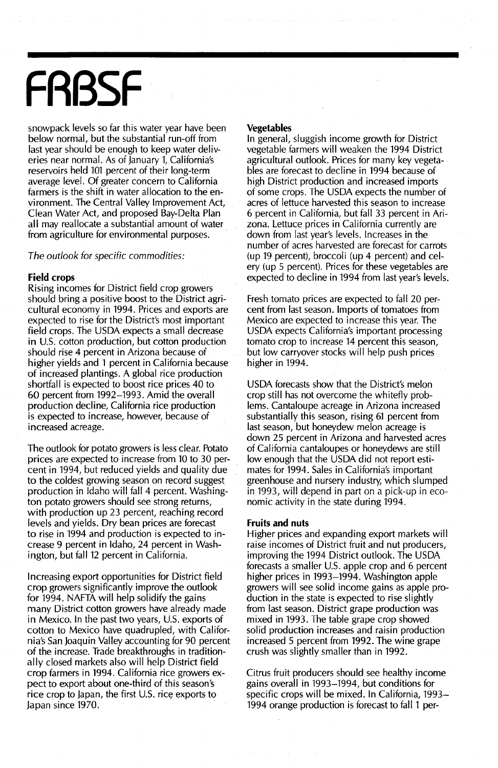# **FRBSF**

snowpack levels so far this water year have been below normal, but the substantial run-off from last year should be enough to keep water deliveries near normal. As of January 1, California's reservoirs held 101 percent of their long-term average level. Of greater concern to California farmers is the shift in water allocation to the environment. The Central Valley Improvement Act, Clean Water Act, and proposed Bay-Delta Plan all may reallocate a substantial amount of water from agriculture for environmental purposes.

#### The outlook for specific commodities:

#### Field crops

Rising incomes for District field crop growers should bring a positive boost to the District agricultural economy in 1994. Prices and exports are expected to rise for the District's most important field crops. The USDA expects a small decrease in U.S. cotton production, but cotton production should rise 4 percent in Arizona because of higher yields and 1 percent in California because of increased plantings. A global rice production shortfall is expected to boost rice prices 40 to 60 percent from 1992-1993. Amid the overall production decline, California rice production is expected to increase, however, because of increased acreage.

The outlook for potato growers is less clear. Potato prices are expected to increase from 10 to 30 percent in 1994, but reduced yields and quality due to the coldest growing season on record suggest production in Idaho will fall 4 percent. Washington potato growers should see strong returns, with production up 23 percent, reaching record levels and yields. Dry bean prices are forecast to rise in 1994 and production is expected to increase 9 percent in Idaho, 24 percent in Washington, but fall 12 percent in California.

Increasing export opportunities for District field crop growers significantly improve the outlook for 1994. NAFTA will help solidify the gains many District cotton growers have already made in Mexico. In the past two years, U.S. exports of cotton to Mexico have quadrupled, with California's San Joaquin Valley accounting for 90 percent of the increase. Trade breakthroughs in traditionally closed markets also will help District field crop farmers in 1994. California rice growers expect to export about one-third of this season's rice crop to Japan, the first U.S. rice exports to Japan since 1970.

#### Vegetables

In general, sluggish income growth for District vegetable farmers will weaken the 1994 District agricultural outlook. Prices for many key vegetables are forecast to decline in 1994 because of high District production and increased imports of some crops. The USDA expects the number of acres of lettuce harvested this season to increase 6 percent in California, but fall 33 percent in Arizona. Lettuce prices in California currently are down from last year's levels. Increases in the number of acres harvested are forecast for carrots (up 19 percent), broccoli (up 4 percent) and celery (up 5 percent). Prices for these vegetables are expected to decline in 1994 from last year's levels.

Fresh tomato prices are expected to fall 20 percent from last season. Imports of tomatoes from Mexico are expected to increase this year. The USDA expects California's important processing tomato crop to increase 14 percent this season, but low carryover stocks will help push prices higher in 1994.

USDA forecasts show that the District's melon crop still has not overcome the whitefly problems. Cantaloupe acreage in Arizona increased substantially this season, rising 61 percent from last season, but honeydew melon acreage is down 25 percent in Arizona and harvested acres of California cantaloupes or honeydews are still low enough that the USDA did not report estimates for 1994. Sales in California's important greenhouse and nursery industry, which slumped in 1993, will depend in part on a pick-up in economic activity in the state during 1994.

#### Fruits and nuts

Higher prices and expanding export markets will raise incomes of District fruit and nut producers, improving the 1994 District outlook. The USDA forecasts a smaller U.S. apple crop and 6 percent higher prices in 1993–1994. Washington apple growers will see solid income gains as apple production in the state is expected to rise slightly from last season. District grape production was mixed in 1993. The table grape crop showed solid production increases and raisin production increased 5 percent from 1992. The wine grape crush was slightly smaller than in 1992.

Citrus fruit producers should see healthy income gains overall in 1993-1994, but conditions for specific crops will be mixed. In California, 1993- 1994 orange production is forecast to fall 1 per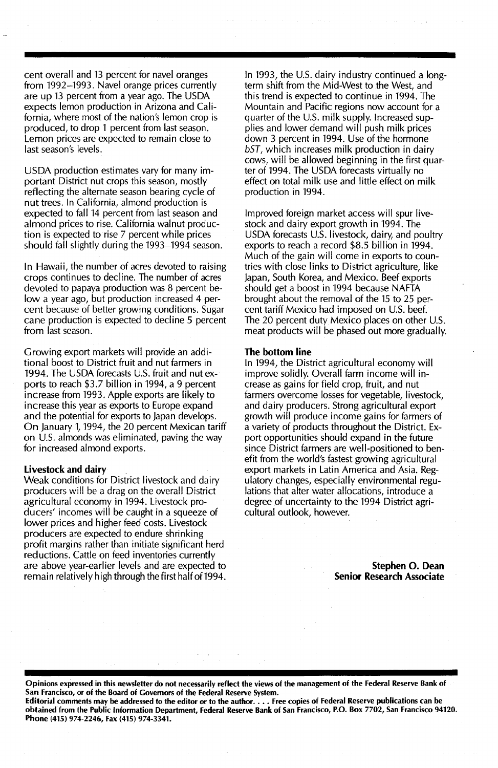cent overall and 13 percent for navel oranges from 1992-1993. Navel orange prices currently are up 13 percent from a year ago. The USDA expects lemon production in Arizona and California, where most of the nation's lemon crop is produced, to drop 1 percent from last season. Lemon prices are expected to remain close to last season's levels.

USDA production estimates vary for many important District nut crops this season, mostly reflecting the alternate season bearing cycle of nut trees. In California, almond production is expected to fall 14 percent from last season and almond prices to rise. California walnut production is expected to rise 7 percent while prices should fall slightly during the 1993-1994 season.

In Hawaii, the number of acres devoted to raising crops continues to decline. The number of acres devoted to papaya production was 8 percent below a year ago, but production increased 4 percent because of better growing conditions. Sugar cane production is expected to decline 5 percent from last season.

Growing export markets will provide an additional boost to District fruit and nut farmers in 1994. The USDA forecasts U.S. fruit and nut exports to reach \$3.7 billion in 1994, a 9 percent increase from 1993. Apple exports are likely to increase this year as exports to Europe expand and the potential for exports to Japan develops. On January 1, 1994, the 20 percent Mexican tariff on U.S. almonds was eliminated, paving the way for increased almond exports.

#### Livestock and dairy

Weak conditions for District livestock and dairy producers will be a drag on the overall District agricultural economy in 1994. Livestock producers' incomes will be caught in a squeeze of lower prices and higher feed costs. Livestock producers are expected to endure shrinking profit margins rather than initiate significant herd reductions. Cattle on feed inventories currently are above year-earlier levels and are expected to remain relatively high through the first half of 1994.

In 1993, the U.S. dairy industry continued a longterm shift from the Mid-West to the West, and this trend is expected to continue in 1994. The Mountain and Pacific regions now account for a quarter of the U.S. milk supply. Increased supplies and lower demand will push milk prices down 3 percent in 1994. Use of the hormone bST, which increases milk production in dairy cows, will be allowed beginning in the first quarter of 1994. The USDA forecasts virtually no effect on total milk use and little effect on milk production in 1994.

Improved foreign market access will spur livestock and dairy export growth in 1994. The USDA forecasts U.S. livestock, dairy, and poultry exports to reach a record \$8.5 billion in 1994. Much of the gain will come in exports to countries with close links to District agriculture, like Japan, South Korea, and Mexico. Beef exports should get a boost in 1994 because NAFTA brought about the removal of the 15 to 25 percent tariff Mexico had imposed on U.S. beef. The 20 percent duty Mexico places on other U.S. meat products will be phased out more gradually.

#### The bottom line

In 1994, the District agricultural economy will improve solidly. Overall farm income will increase as gains for field crop, fruit, and nut farmers overcome losses for vegetable, livestock, and dairy producers. Strong agricultural export growth will produce income gains for farmers of a variety of products throughout the District. Export opportunities should expand in the future since District farmers are well-positioned to benefit from the world's fastest growing agricultural export markets in Latin America and Asia. Regulatory changes, especially environmental regulations that alter water allocations, introduce a degree of uncertainty to the 1994 District agricultural outlook, however.

> Stephen O. Dean Senior Research Associate

Opinions expressed in this newsletter do not necessarily reflect the views of the management of the Federal Reserve Bank of San Francisco, or of the Board of Governors of the Federal Reserve System.

Editorial comments may be addressed to the editor or to the author.... Free copies of Federal Reserve publications can be obtained from the Public Information Department, Federal Reserve Bank of San Francisco, P.O. Box 7702, San Francisco 94120. Phone (415) 974-2246, Fax (415) 974-3341.